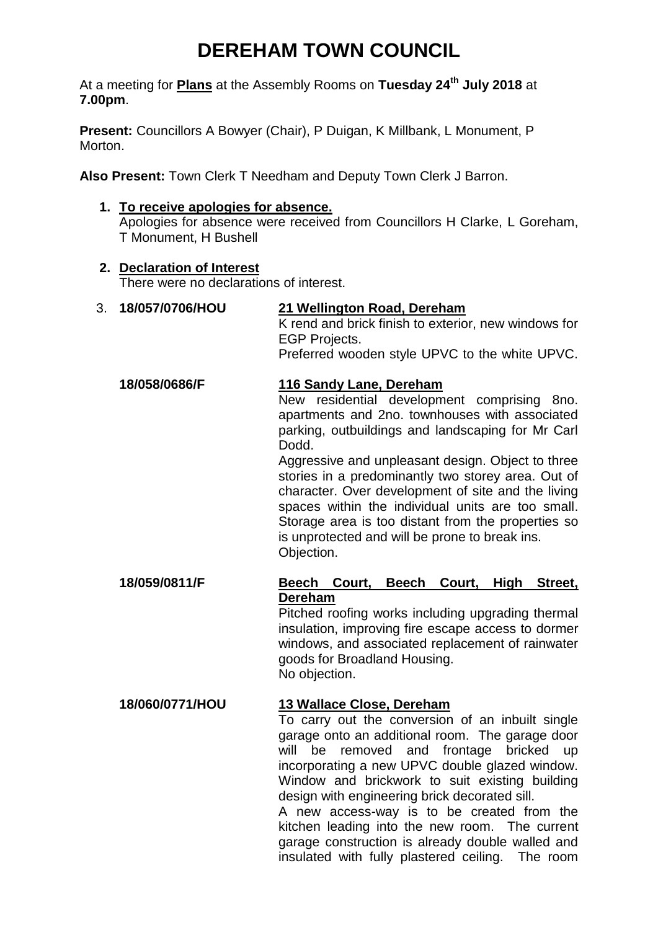# **DEREHAM TOWN COUNCIL**

At a meeting for **Plans** at the Assembly Rooms on **Tuesday 24th July 2018** at **7.00pm**.

**Present:** Councillors A Bowyer (Chair), P Duigan, K Millbank, L Monument, P Morton.

**Also Present:** Town Clerk T Needham and Deputy Town Clerk J Barron.

#### **1. To receive apologies for absence.**

Apologies for absence were received from Councillors H Clarke, L Goreham, T Monument, H Bushell

#### **2. Declaration of Interest**

There were no declarations of interest.

## 3. **18/057/0706/HOU 21 Wellington Road, Dereham**

K rend and brick finish to exterior, new windows for EGP Projects.

Preferred wooden style UPVC to the white UPVC.

# **18/058/0686/F 116 Sandy Lane, Dereham**

New residential development comprising 8no. apartments and 2no. townhouses with associated parking, outbuildings and landscaping for Mr Carl Dodd.

Aggressive and unpleasant design. Object to three stories in a predominantly two storey area. Out of character. Over development of site and the living spaces within the individual units are too small. Storage area is too distant from the properties so is unprotected and will be prone to break ins. Objection.

# **18/059/0811/F Beech Court, Beech Court, High Street, Dereham**

Pitched roofing works including upgrading thermal insulation, improving fire escape access to dormer windows, and associated replacement of rainwater goods for Broadland Housing. No objection.

### **18/060/0771/HOU 13 Wallace Close, Dereham**

To carry out the conversion of an inbuilt single garage onto an additional room. The garage door will be removed and frontage bricked up incorporating a new UPVC double glazed window. Window and brickwork to suit existing building design with engineering brick decorated sill.

A new access-way is to be created from the kitchen leading into the new room. The current garage construction is already double walled and insulated with fully plastered ceiling. The room